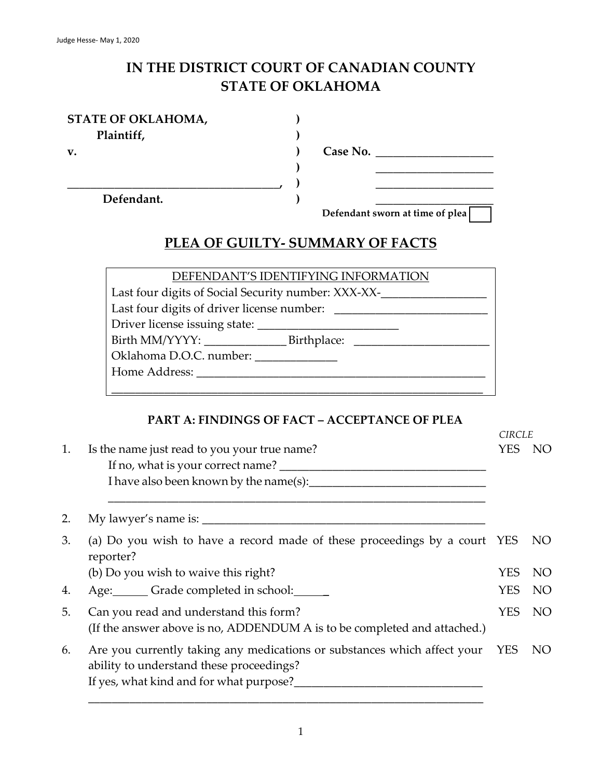# **IN THE DISTRICT COURT OF CANADIAN COUNTY STATE OF OKLAHOMA**

**) ) ) ) ) )**

| STATE OF OKLAHOMA, |
|--------------------|
| Plaintiff,         |

**v.**

**Case No. \_\_\_\_\_\_\_\_\_\_\_\_\_\_\_\_\_\_\_\_**

**Defendant.**

**\_\_\_\_\_\_\_\_\_\_\_\_\_\_\_\_\_\_\_\_\_\_\_\_\_\_\_\_\_\_\_\_\_\_\_\_,**

**\_\_\_\_\_\_\_\_\_\_\_\_\_\_\_\_\_\_\_\_ Defendant sworn at time of plea**

**\_\_\_\_\_\_\_\_\_\_\_\_\_\_\_\_\_\_\_\_ \_\_\_\_\_\_\_\_\_\_\_\_\_\_\_\_\_\_\_\_**

 $CIDCIF$ 

# **PLEA OF GUILTY- SUMMARY OF FACTS**

| DEFENDANT'S IDENTIFYING INFORMATION                 |  |  |  |  |
|-----------------------------------------------------|--|--|--|--|
| Last four digits of Social Security number: XXX-XX- |  |  |  |  |
|                                                     |  |  |  |  |
| Driver license issuing state:                       |  |  |  |  |
|                                                     |  |  |  |  |
| Oklahoma D.O.C. number:                             |  |  |  |  |
| Home Address:                                       |  |  |  |  |
|                                                     |  |  |  |  |
|                                                     |  |  |  |  |

# **PART A: FINDINGS OF FACT – ACCEPTANCE OF PLEA**

| Is the name just read to you your true name?                                                                       | <b>YES</b>                        | NO.                                                                                                                                                                 |
|--------------------------------------------------------------------------------------------------------------------|-----------------------------------|---------------------------------------------------------------------------------------------------------------------------------------------------------------------|
|                                                                                                                    |                                   |                                                                                                                                                                     |
|                                                                                                                    |                                   |                                                                                                                                                                     |
| reporter?                                                                                                          |                                   | NO.                                                                                                                                                                 |
| (b) Do you wish to waive this right?                                                                               | <b>YES</b>                        | NO.                                                                                                                                                                 |
| Age: Grade completed in school:                                                                                    | <b>YES</b>                        | NO                                                                                                                                                                  |
| Can you read and understand this form?<br>(If the answer above is no, ADDENDUM A is to be completed and attached.) | <b>YES</b>                        | NO <sub>1</sub>                                                                                                                                                     |
| ability to understand these proceedings?<br>If yes, what kind and for what purpose?                                |                                   | NO.                                                                                                                                                                 |
|                                                                                                                    | If no, what is your correct name? | CINCLE<br>(a) Do you wish to have a record made of these proceedings by a court YES<br>Are you currently taking any medications or substances which affect your YES |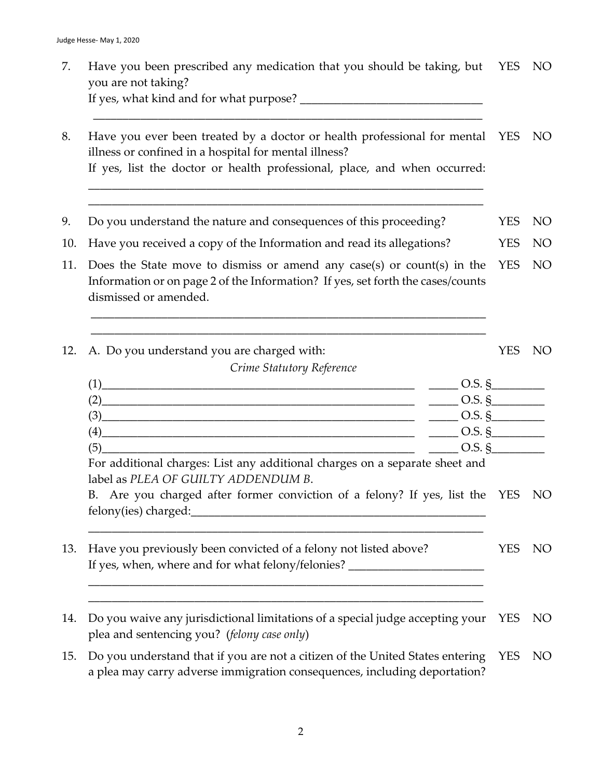| 7.  | Have you been prescribed any medication that you should be taking, but YES<br>you are not taking?                                                                                                                              |            | NO <sub>1</sub> |
|-----|--------------------------------------------------------------------------------------------------------------------------------------------------------------------------------------------------------------------------------|------------|-----------------|
| 8.  | Have you ever been treated by a doctor or health professional for mental YES<br>illness or confined in a hospital for mental illness?<br>If yes, list the doctor or health professional, place, and when occurred:             |            | NO <sub>1</sub> |
| 9.  | Do you understand the nature and consequences of this proceeding?                                                                                                                                                              | <b>YES</b> | NO <sub>1</sub> |
| 10. | Have you received a copy of the Information and read its allegations?                                                                                                                                                          | <b>YES</b> | <b>NO</b>       |
| 11. | Does the State move to dismiss or amend any case(s) or count(s) in the<br>Information or on page 2 of the Information? If yes, set forth the cases/counts<br>dismissed or amended.                                             | <b>YES</b> | <b>NO</b>       |
| 12. | A. Do you understand you are charged with:<br>Crime Statutory Reference                                                                                                                                                        | <b>YES</b> | NO              |
|     | $(1)$ $\qquad \qquad 0.5. \, \text{\S}$                                                                                                                                                                                        |            |                 |
|     | $(2)$ $\qquad \qquad 0.5. \, \text{\AA}$<br>$(3)$ $\qquad \qquad$ 0.5. §                                                                                                                                                       |            |                 |
|     | $(4)$ O.S. §                                                                                                                                                                                                                   |            |                 |
|     | $\frac{1}{2}$ 0.5. §<br>(5)                                                                                                                                                                                                    |            |                 |
|     | For additional charges: List any additional charges on a separate sheet and<br>label as PLEA OF GUILTY ADDENDUM B.                                                                                                             |            |                 |
|     | B. Are you charged after former conviction of a felony? If yes, list the YES NO<br>felony(ies) charged:<br><u> 1980 - Jan Barbara, martin da basar da basar da basar da basar da basar da basar da basar da basar da basar</u> |            |                 |
| 13. | Have you previously been convicted of a felony not listed above?<br>If yes, when, where and for what felony/felonies? ______________________________                                                                           | <b>YES</b> | NO.             |
| 14. | Do you waive any jurisdictional limitations of a special judge accepting your<br>plea and sentencing you? (felony case only)                                                                                                   | <b>YES</b> | NO <sub>1</sub> |
| 15. | Do you understand that if you are not a citizen of the United States entering<br>a plea may carry adverse immigration consequences, including deportation?                                                                     | <b>YES</b> | NO <sub>1</sub> |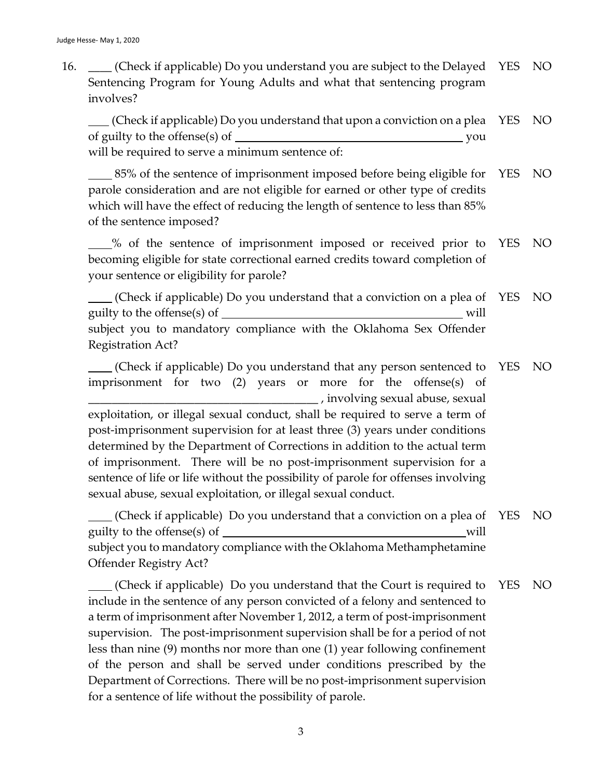16. \_\_\_\_ (Check if applicable) Do you understand you are subject to the Delayed Sentencing Program for Young Adults and what that sentencing program involves? YES NO

 (Check if applicable) Do you understand that upon a conviction on a plea of guilty to the offense(s) of you will be required to serve a minimum sentence of: YES NO

 85% of the sentence of imprisonment imposed before being eligible for parole consideration and are not eligible for earned or other type of credits which will have the effect of reducing the length of sentence to less than 85% of the sentence imposed? YES NO

 % of the sentence of imprisonment imposed or received prior to becoming eligible for state correctional earned credits toward completion of your sentence or eligibility for parole? YES NO

 (Check if applicable) Do you understand that a conviction on a plea of YES NO guilty to the offense(s) of will subject you to mandatory compliance with the Oklahoma Sex Offender Registration Act?

 (Check if applicable) Do you understand that any person sentenced to imprisonment for two (2) years or more for the offense(s) of \_\_\_\_\_\_\_\_\_\_\_\_\_\_\_\_\_\_\_\_\_\_\_\_\_\_\_\_\_\_\_\_\_\_\_\_\_\_\_ , involving sexual abuse, sexual exploitation, or illegal sexual conduct, shall be required to serve a term of post-imprisonment supervision for at least three (3) years under conditions determined by the Department of Corrections in addition to the actual term of imprisonment. There will be no post-imprisonment supervision for a sentence of life or life without the possibility of parole for offenses involving sexual abuse, sexual exploitation, or illegal sexual conduct. YES NO

 (Check if applicable) Do you understand that a conviction on a plea of guilty to the offense(s) of will subject you to mandatory compliance with the Oklahoma Methamphetamine Offender Registry Act? YES NO

 (Check if applicable) Do you understand that the Court is required to include in the sentence of any person convicted of a felony and sentenced to a term of imprisonment after November 1, 2012, a term of post-imprisonment supervision. The post-imprisonment supervision shall be for a period of not less than nine (9) months nor more than one (1) year following confinement of the person and shall be served under conditions prescribed by the Department of Corrections. There will be no post-imprisonment supervision for a sentence of life without the possibility of parole. YES NO

3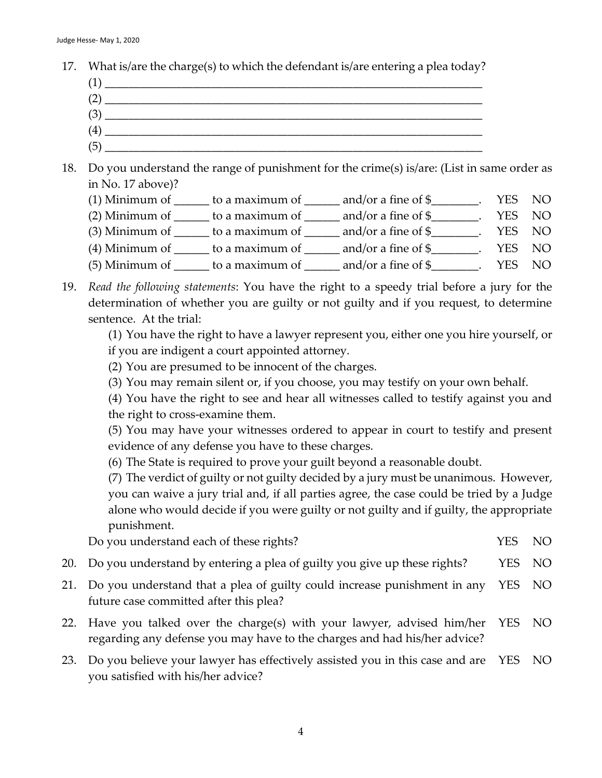- 17. What is/are the charge(s) to which the defendant is/are entering a plea today?
	- $(1)$  $(2)$   $\overline{\phantom{a}}$ (3) \_\_\_\_\_\_\_\_\_\_\_\_\_\_\_\_\_\_\_\_\_\_\_\_\_\_\_\_\_\_\_\_\_\_\_\_\_\_\_\_\_\_\_\_\_\_\_\_\_\_\_\_\_\_\_\_\_\_\_\_\_\_\_\_
	- $(4)$   $\overline{\phantom{a}}$
	- (5) \_\_\_\_\_\_\_\_\_\_\_\_\_\_\_\_\_\_\_\_\_\_\_\_\_\_\_\_\_\_\_\_\_\_\_\_\_\_\_\_\_\_\_\_\_\_\_\_\_\_\_\_\_\_\_\_\_\_\_\_\_\_\_\_
- 18. Do you understand the range of punishment for the crime(s) is/are: (List in same order as in No. 17 above)?
	- (1) Minimum of  $\_\_\_\_$  to a maximum of  $\_\_\_\_$  and/or a fine of  $\frac{1}{2}$ . YES NO
	- (2) Minimum of  $\_\_\_\_$  to a maximum of  $\_\_\_\_$  and/or a fine of  $\_\_\_\_\_\_\$ . YES NO
	- (3) Minimum of  $\_\_\_\_$  to a maximum of  $\_\_\_\_$  and/or a fine of  $\frac{1}{2}$ . YES NO
	- (4) Minimum of  $\_\_\_\_$  to a maximum of  $\_\_\_\$  and/or a fine of  $\frac{1}{2}$ . YES NO
	- (5) Minimum of  $\qquad \qquad$  to a maximum of  $\qquad \qquad$  and/or a fine of \$ $\qquad \qquad$  YES NO
- 19. *Read the following statements*: You have the right to a speedy trial before a jury for the determination of whether you are guilty or not guilty and if you request, to determine sentence. At the trial:
	- (1) You have the right to have a lawyer represent you, either one you hire yourself, or if you are indigent a court appointed attorney.
	- (2) You are presumed to be innocent of the charges.
	- (3) You may remain silent or, if you choose, you may testify on your own behalf.
	- (4) You have the right to see and hear all witnesses called to testify against you and the right to cross-examine them.

(5) You may have your witnesses ordered to appear in court to testify and present evidence of any defense you have to these charges.

(6) The State is required to prove your guilt beyond a reasonable doubt.

(7) The verdict of guilty or not guilty decided by a jury must be unanimous. However, you can waive a jury trial and, if all parties agree, the case could be tried by a Judge alone who would decide if you were guilty or not guilty and if guilty, the appropriate punishment.

Do you understand each of these rights? The VES NO

- 20. Do you understand by entering a plea of guilty you give up these rights? YES NO
- 21. Do you understand that a plea of guilty could increase punishment in any future case committed after this plea? YES NO
- 22. Have you talked over the charge(s) with your lawyer, advised him/her regarding any defense you may have to the charges and had his/her advice? YES NO
- 23. Do you believe your lawyer has effectively assisted you in this case and are YES NOyou satisfied with his/her advice?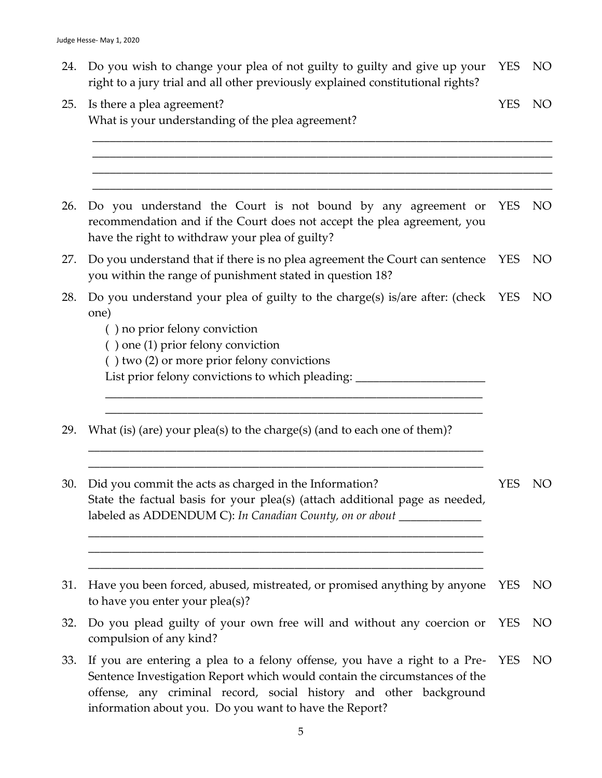| 24. Do you wish to change your plea of not guilty to guilty and give up your YES NO |        |  |
|-------------------------------------------------------------------------------------|--------|--|
| right to a jury trial and all other previously explained constitutional rights?     |        |  |
| 25. Is there a plea agreement?                                                      | YES NO |  |

\_\_\_\_\_\_\_\_\_\_\_\_\_\_\_\_\_\_\_\_\_\_\_\_\_\_\_\_\_\_\_\_\_\_\_\_\_\_\_\_\_\_\_\_\_\_\_\_\_\_\_\_\_\_\_\_\_\_\_\_\_\_\_\_\_\_\_\_\_\_\_\_\_\_\_\_\_\_ \_\_\_\_\_\_\_\_\_\_\_\_\_\_\_\_\_\_\_\_\_\_\_\_\_\_\_\_\_\_\_\_\_\_\_\_\_\_\_\_\_\_\_\_\_\_\_\_\_\_\_\_\_\_\_\_\_\_\_\_\_\_\_\_\_\_\_\_\_\_\_\_\_\_\_\_\_\_ \_\_\_\_\_\_\_\_\_\_\_\_\_\_\_\_\_\_\_\_\_\_\_\_\_\_\_\_\_\_\_\_\_\_\_\_\_\_\_\_\_\_\_\_\_\_\_\_\_\_\_\_\_\_\_\_\_\_\_\_\_\_\_\_\_\_\_\_\_\_\_\_\_\_\_\_\_\_

| 26. Do you understand the Court is not bound by any agreement or YES NO                |  |
|----------------------------------------------------------------------------------------|--|
| recommendation and if the Court does not accept the plea agreement, you                |  |
| have the right to withdraw your plea of guilty?                                        |  |
| 27. Do you understand that if there is no plea agreement the Court can sentence YES NO |  |
| you within the range of punishment stated in question 18?                              |  |

28. Do you understand your plea of guilty to the charge(s) is/are after: (check YES NO one)

\_\_\_\_\_\_\_\_\_\_\_\_\_\_\_\_\_\_\_\_\_\_\_\_\_\_\_\_\_\_\_\_\_\_\_\_\_\_\_\_\_\_\_\_\_\_\_\_\_\_\_\_\_\_\_\_\_\_\_\_\_\_\_\_ \_\_\_\_\_\_\_\_\_\_\_\_\_\_\_\_\_\_\_\_\_\_\_\_\_\_\_\_\_\_\_\_\_\_\_\_\_\_\_\_\_\_\_\_\_\_\_\_\_\_\_\_\_\_\_\_\_\_\_\_\_\_\_\_

\_\_\_\_\_\_\_\_\_\_\_\_\_\_\_\_\_\_\_\_\_\_\_\_\_\_\_\_\_\_\_\_\_\_\_\_\_\_\_\_\_\_\_\_\_\_\_\_\_\_\_\_\_\_\_\_\_\_\_\_\_\_\_\_\_\_\_ \_\_\_\_\_\_\_\_\_\_\_\_\_\_\_\_\_\_\_\_\_\_\_\_\_\_\_\_\_\_\_\_\_\_\_\_\_\_\_\_\_\_\_\_\_\_\_\_\_\_\_\_\_\_\_\_\_\_\_\_\_\_\_\_\_\_\_

\_\_\_\_\_\_\_\_\_\_\_\_\_\_\_\_\_\_\_\_\_\_\_\_\_\_\_\_\_\_\_\_\_\_\_\_\_\_\_\_\_\_\_\_\_\_\_\_\_\_\_\_\_\_\_\_\_\_\_\_\_\_\_\_\_\_\_ \_\_\_\_\_\_\_\_\_\_\_\_\_\_\_\_\_\_\_\_\_\_\_\_\_\_\_\_\_\_\_\_\_\_\_\_\_\_\_\_\_\_\_\_\_\_\_\_\_\_\_\_\_\_\_\_\_\_\_\_\_\_\_\_\_\_\_ \_\_\_\_\_\_\_\_\_\_\_\_\_\_\_\_\_\_\_\_\_\_\_\_\_\_\_\_\_\_\_\_\_\_\_\_\_\_\_\_\_\_\_\_\_\_\_\_\_\_\_\_\_\_\_\_\_\_\_\_\_\_\_\_\_\_\_

- ( ) no prior felony conviction
- ( ) one (1) prior felony conviction
- ( ) two (2) or more prior felony convictions

What is your understanding of the plea agreement?

List prior felony convictions to which pleading: \_\_\_\_\_\_\_\_\_\_\_\_\_\_\_\_\_\_\_\_\_\_\_\_\_\_\_\_\_\_\_

- 29. What (is) (are) your plea(s) to the charge(s) (and to each one of them)?
- 30. Did you commit the acts as charged in the Information? State the factual basis for your plea(s) (attach additional page as needed, labeled as ADDENDUM C): *In Canadian County, on or about* \_\_\_\_\_\_\_\_\_\_\_\_\_\_ YES NO
- 31. Have you been forced, abused, mistreated, or promised anything by anyone YES NO to have you enter your plea(s)?
- 32. Do you plead guilty of your own free will and without any coercion or compulsion of any kind? YES NO
- 33. If you are entering a plea to a felony offense, you have a right to a Pre-Sentence Investigation Report which would contain the circumstances of the offense, any criminal record, social history and other background information about you. Do you want to have the Report? YES NO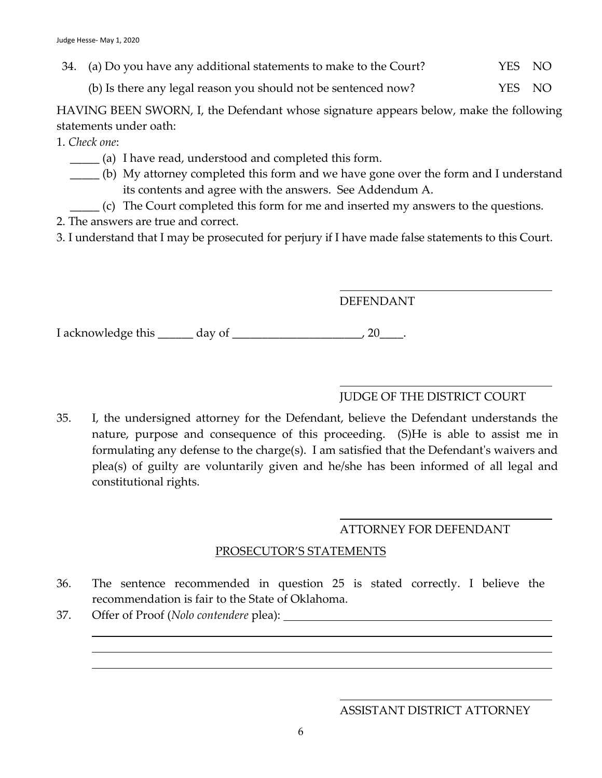34. (a) Do you have any additional statements to make to the Court? YES NO

(b) Is there any legal reason you should not be sentenced now? YES NO

HAVING BEEN SWORN, I, the Defendant whose signature appears below, make the following statements under oath:

1. *Check one*:

- \_\_\_\_\_ (a) I have read, understood and completed this form.
- \_\_\_\_\_ (b) My attorney completed this form and we have gone over the form and I understand its contents and agree with the answers. See Addendum A.
- \_\_\_\_\_ (c) The Court completed this form for me and inserted my answers to the questions.
- 2. The answers are true and correct.

3. I understand that I may be prosecuted for perjury if I have made false statements to this Court.

# DEFENDANT

I acknowledge this \_\_\_\_\_\_ day of \_\_\_\_\_\_\_\_\_\_\_\_\_\_\_\_\_\_\_\_\_\_, 20\_\_\_\_.

# JUDGE OF THE DISTRICT COURT

35. I, the undersigned attorney for the Defendant, believe the Defendant understands the nature, purpose and consequence of this proceeding. (S)He is able to assist me in formulating any defense to the charge(s). I am satisfied that the Defendant's waivers and plea(s) of guilty are voluntarily given and he/she has been informed of all legal and constitutional rights.

# ATTORNEY FOR DEFENDANT

#### PROSECUTOR'S STATEMENTS

- 36. The sentence recommended in question 25 is stated correctly. I believe the recommendation is fair to the State of Oklahoma.
- 37. Offer of Proof (*Nolo contendere* plea):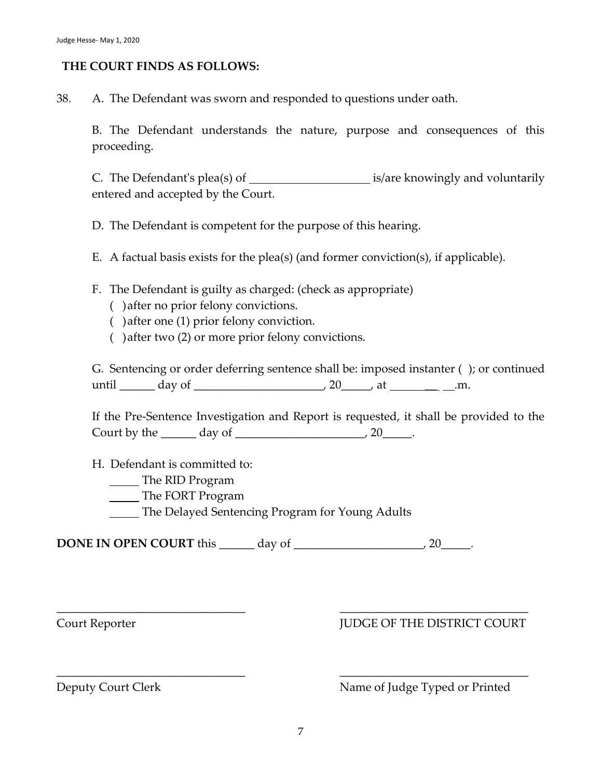#### **THE COURT FINDS AS FOLLOWS:**

38. A. The Defendant was sworn and responded to questions under oath.

B. The Defendant understands the nature, purpose and consequences of this proceeding.

C. The Defendant's plea(s) of  $\qquad \qquad$  is/are knowingly and voluntarily entered and accepted by the Court.

D. The Defendant is competent for the purpose of this hearing.

E. A factual basis exists for the plea(s) (and former conviction(s), if applicable).

F. The Defendant is guilty as charged: (check as appropriate)

- ( )after no prior felony convictions.
- ( )after one (1) prior felony conviction.
- ( )after two (2) or more prior felony convictions.

G. Sentencing or order deferring sentence shall be: imposed instanter ( ); or continued until \_\_\_\_\_\_ day of \_\_\_\_\_\_\_\_\_\_\_\_\_\_\_\_\_\_\_\_\_\_, 20\_\_\_\_\_, at \_\_ .m.

If the Pre-Sentence Investigation and Report is requested, it shall be provided to the Court by the  $\_\_\_\_\_\$  day of  $\_\_\_\_\_\_\_\_\_\_\_$  20 $\_\_\_\_\_\$ .

H. Defendant is committed to:

- **The RID Program**
- **The FORT Program**
- The Delayed Sentencing Program for Young Adults

**DONE IN OPEN COURT** this \_\_\_\_\_\_\_ day of \_\_\_\_\_\_\_\_\_\_\_\_\_\_\_\_\_\_\_\_\_\_\_, 20\_\_\_\_\_\_.

# Court Reporter  $\qquad \qquad \text{IUDGE OF THE DISTRICT COURT}$

Deputy Court Clerk Name of Judge Typed or Printed

\_\_\_\_\_\_\_\_\_\_\_\_\_\_\_\_\_\_\_\_\_\_\_\_\_\_\_\_\_\_\_\_ \_\_\_\_\_\_\_\_\_\_\_\_\_\_\_\_\_\_\_\_\_\_\_\_\_\_\_\_\_\_\_\_

\_\_\_\_\_\_\_\_\_\_\_\_\_\_\_\_\_\_\_\_\_\_\_\_\_\_\_\_\_\_\_\_ \_\_\_\_\_\_\_\_\_\_\_\_\_\_\_\_\_\_\_\_\_\_\_\_\_\_\_\_\_\_\_\_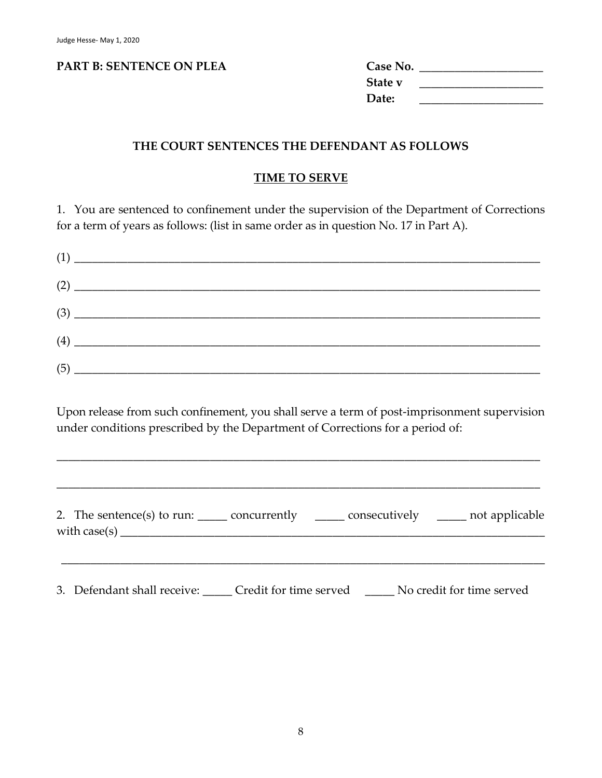#### **PART B: SENTENCE ON PLEA C**

| Case No. |  |
|----------|--|
| State v  |  |
| Date:    |  |

#### **THE COURT SENTENCES THE DEFENDANT AS FOLLOWS**

#### **TIME TO SERVE**

1. You are sentenced to confinement under the supervision of the Department of Corrections for a term of years as follows: (list in same order as in question No. 17 in Part A).

| $(1) \begin{tabular}{l} \hline \rule[1em]{1em}{1em} \rule[1em]{1em}{1em} \rule[1em]{1em}{1em} \rule[1em]{1em}{1em} \rule[1em]{1em}{1em} \rule[1em]{1em}{1em} \rule[1em]{1em}{1em} \rule[1em]{1em}{1em} \rule[1em]{1em}{1em} \rule[1em]{1em}{1em} \rule[1em]{1em}{1em} \rule[1em]{1em}{1em} \rule[1em]{1em}{1em} \rule[1em]{1em}{1em} \rule[1em]{1em}{1em} \rule[1em]{1em}{1em} \rule[1em]{1em}{1em} \rule$ |  |
|------------------------------------------------------------------------------------------------------------------------------------------------------------------------------------------------------------------------------------------------------------------------------------------------------------------------------------------------------------------------------------------------------------|--|
| $\begin{tabular}{ c c c c } \hline $\left( 2\right) & $\ldots$ & $\ldots$ & $\ldots$ & $\ldots$ \\ \hline \end{tabular}$                                                                                                                                                                                                                                                                                   |  |
| $(3) \begin{tabular}{c} \hline \rule[1pt]{1em}{12pt} \rule[1pt]{1em}{12pt} \rule[1pt]{1em}{12pt} \rule[1pt]{1em}{12pt} \rule[1pt]{1em}{12pt} \rule[1pt]{1em}{12pt} \rule[1pt]{1em}{12pt} \rule[1pt]{1em}{12pt} \rule[1pt]{1em}{12pt} \rule[1pt]{1em}{12pt} \rule[1pt]{1em}{12pt} \rule[1pt]{1em}{12pt} \rule[1pt]{1em}{12pt} \rule[1pt]{1em}{12pt} \rule[1pt]{1em}{12pt} \rule[1pt]{1em}{12$               |  |
| $\begin{picture}(4) \put(0,0){\dashbox{0.5}(6,0){ }} \put(15,0){\dashbox{0.5}(6,0){ }} \put(25,0){\dashbox{0.5}(6,0){ }} \put(35,0){\dashbox{0.5}(6,0){ }} \put(45,0){\dashbox{0.5}(6,0){ }} \put(55,0){\dashbox{0.5}(6,0){ }} \put(65,0){\dashbox{0.5}(6,0){ }} \put(65,0){\dashbox{0.5}(6,0){ }} \put(65,0){\dashbox{0.5}(6,0){ }} \put(65,0){\dashbox{0.5}(6,0){ }} \put(6$                             |  |
|                                                                                                                                                                                                                                                                                                                                                                                                            |  |

Upon release from such confinement, you shall serve a term of post-imprisonment supervision under conditions prescribed by the Department of Corrections for a period of:

\_\_\_\_\_\_\_\_\_\_\_\_\_\_\_\_\_\_\_\_\_\_\_\_\_\_\_\_\_\_\_\_\_\_\_\_\_\_\_\_\_\_\_\_\_\_\_\_\_\_\_\_\_\_\_\_\_\_\_\_\_\_\_\_\_\_\_\_\_\_\_\_\_\_\_\_\_\_\_\_\_\_

\_\_\_\_\_\_\_\_\_\_\_\_\_\_\_\_\_\_\_\_\_\_\_\_\_\_\_\_\_\_\_\_\_\_\_\_\_\_\_\_\_\_\_\_\_\_\_\_\_\_\_\_\_\_\_\_\_\_\_\_\_\_\_\_\_\_\_\_\_\_\_\_\_\_\_\_\_\_\_\_\_\_

| 2. The sentence(s) to run: $\_\_\_\_$ concurrently $\_\_\_\_\_$ | consecutively ______ not applicable |
|-----------------------------------------------------------------|-------------------------------------|
|                                                                 |                                     |

3. Defendant shall receive: \_\_\_\_\_ Credit for time served \_\_\_\_\_ No credit for time served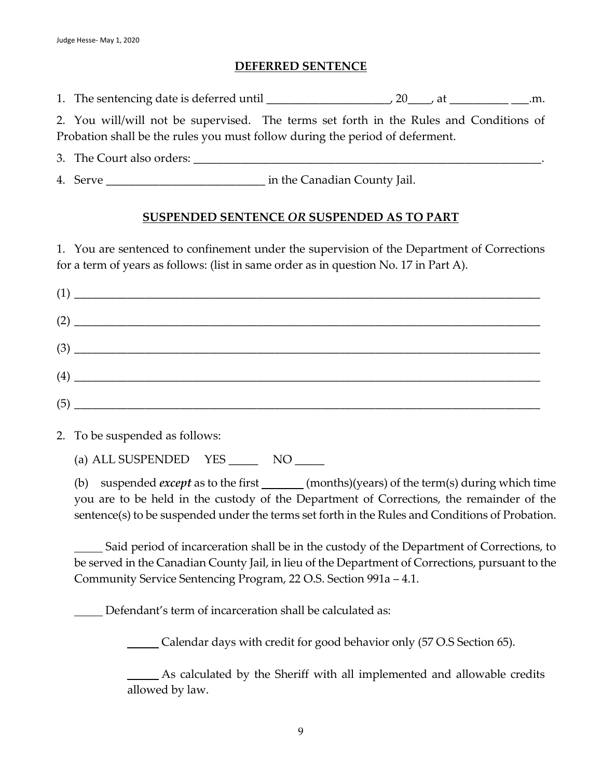#### **DEFERRED SENTENCE**

1. The sentencing date is deferred until \_\_\_\_\_\_\_\_\_\_\_\_\_\_\_\_\_\_\_\_\_, 20\_\_\_\_, at \_\_\_\_\_\_\_\_\_\_ \_\_\_.m.

2. You will/will not be supervised. The terms set forth in the Rules and Conditions of Probation shall be the rules you must follow during the period of deferment.

3. The Court also orders: \_\_\_\_\_\_\_\_\_\_\_\_\_\_\_\_\_\_\_\_\_\_\_\_\_\_\_\_\_\_\_\_\_\_\_\_\_\_\_\_\_\_\_\_\_\_\_\_\_\_\_\_\_\_\_\_\_\_\_.

4. Serve in the Canadian County Jail.

# **SUSPENDED SENTENCE** *OR* **SUSPENDED AS TO PART**

1. You are sentenced to confinement under the supervision of the Department of Corrections for a term of years as follows: (list in same order as in question No. 17 in Part A).

| $(1) \begin{tabular}{l} \hline \rule[1em]{1em}{1em} \multicolumn{3}{c} {\textbf{(1)}} & \multicolumn{3}{c} {\textbf{(2)}} \\ \hline \rule[1em]{1em}{1em} \end{tabular}$                                                                                                                                                                                                                                                                                                           |
|-----------------------------------------------------------------------------------------------------------------------------------------------------------------------------------------------------------------------------------------------------------------------------------------------------------------------------------------------------------------------------------------------------------------------------------------------------------------------------------|
| $(2) \begin{tabular}{l} \hline \rule[1em]{1em}{0.4em} \rule[1em]{1em}{0.4em} \rule[1em]{1em}{0.4em} \rule[1em]{1em}{0.4em} \rule[1em]{1em}{0.4em} \rule[1em]{1em}{0.4em} \rule[1em]{1em}{0.4em} \rule[1em]{1em}{0.4em} \rule[1em]{1em}{0.4em} \rule[1em]{1em}{0.4em} \rule[1em]{1em}{0.4em} \rule[1em]{1em}{0.4em} \rule[1em]{1em}{0.4em} \rule[1em]{1em}{0.4em} \rule[1em]{1em}{0$                                                                                               |
| $(3) \begin{tabular}{c} \hline \rule[1em]{1em}{1em} \multicolumn{3}{c} \multicolumn{3}{c} \multicolumn{3}{c} \multicolumn{3}{c} \multicolumn{3}{c} \multicolumn{3}{c} \multicolumn{3}{c} \multicolumn{3}{c} \multicolumn{3}{c} \multicolumn{3}{c} \multicolumn{3}{c} \multicolumn{3}{c} \multicolumn{3}{c} \multicolumn{3}{c} \multicolumn{3}{c} \multicolumn{3}{c} \multicolumn{3}{c} \multicolumn{3}{c} \multicolumn{3}{c} \multicolumn{3}{c} \multicolumn{3}{c} \multicolumn{$ |
|                                                                                                                                                                                                                                                                                                                                                                                                                                                                                   |
|                                                                                                                                                                                                                                                                                                                                                                                                                                                                                   |
|                                                                                                                                                                                                                                                                                                                                                                                                                                                                                   |

2. To be suspended as follows:

(a) ALL SUSPENDED YES NO

(b) suspended *except* as to the first \_\_\_\_\_\_\_ (months)(years) of the term(s) during which time you are to be held in the custody of the Department of Corrections, the remainder of the sentence(s) to be suspended under the terms set forth in the Rules and Conditions of Probation.

 Said period of incarceration shall be in the custody of the Department of Corrections, to be served in the Canadian County Jail, in lieu of the Department of Corrections, pursuant to the Community Service Sentencing Program, 22 O.S. Section 991a – 4.1.

Defendant's term of incarceration shall be calculated as:

Calendar days with credit for good behavior only (57 O.S Section 65).

As calculated by the Sheriff with all implemented and allowable credits allowed by law.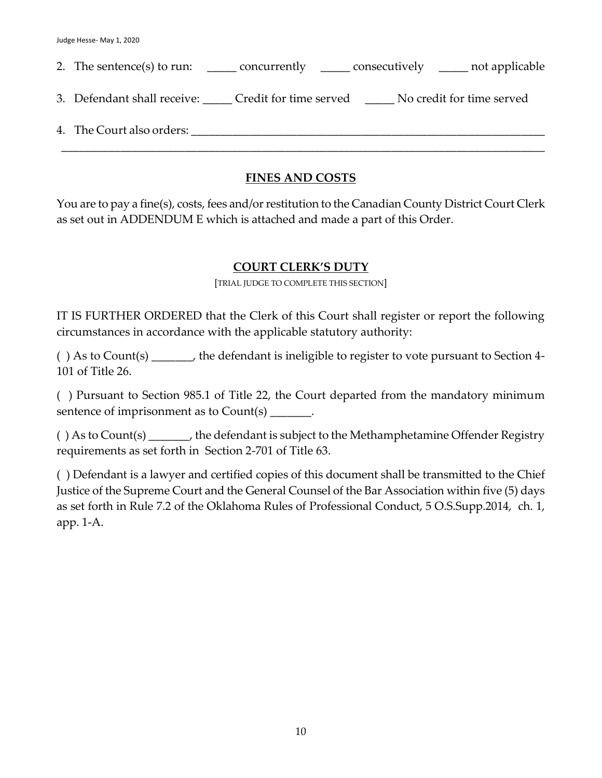| 2. The sentence(s) to run: ________ concurrently _______ consecutively _______ not applicable |
|-----------------------------------------------------------------------------------------------|
| 3. Defendant shall receive: Credit for time served No credit for time served                  |
| 4. The Court also orders:                                                                     |
|                                                                                               |

# **FINES AND COSTS**

You are to pay a fine(s), costs, fees and/or restitution to the Canadian County District Court Clerk as set out in ADDENDUM E which is attached and made a part of this Order.

# **COURT CLERK'S DUTY**

[TRIAL JUDGE TO COMPLETE THIS SECTION]

IT IS FURTHER ORDERED that the Clerk of this Court shall register or report the following circumstances in accordance with the applicable statutory authority:

( ) As to Count(s) \_\_\_\_\_\_\_, the defendant is ineligible to register to vote pursuant to Section 4- 101 of Title 26.

( ) Pursuant to Section 985.1 of Title 22, the Court departed from the mandatory minimum sentence of imprisonment as to Count(s)  $\qquad \qquad$ .

( ) As to Count(s) \_\_\_\_\_\_\_, the defendant is subject to the Methamphetamine Offender Registry requirements as set forth in Section 2-701 of Title 63.

( ) Defendant is a lawyer and certified copies of this document shall be transmitted to the Chief Justice of the Supreme Court and the General Counsel of the Bar Association within five (5) days as set forth in Rule 7.2 of the Oklahoma Rules of Professional Conduct, 5 O.S.Supp.2014, ch. 1, app. 1-A.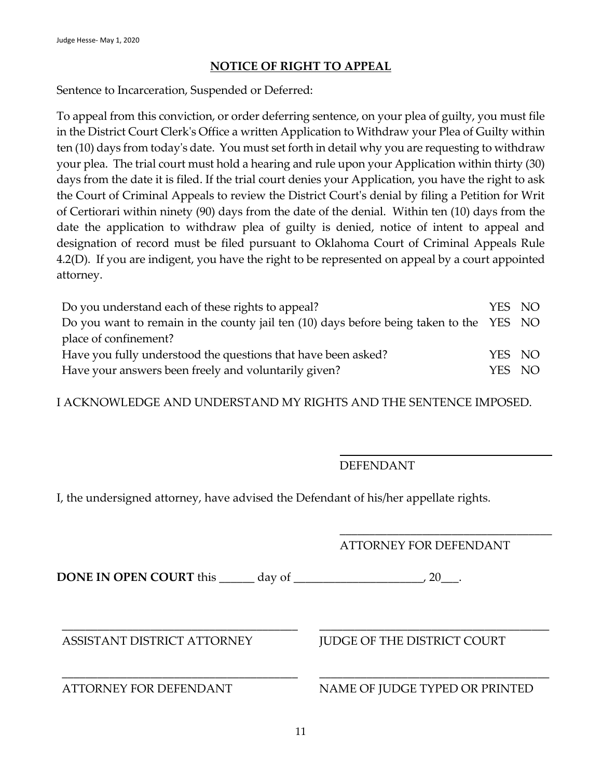# **NOTICE OF RIGHT TO APPEAL**

Sentence to Incarceration, Suspended or Deferred:

To appeal from this conviction, or order deferring sentence, on your plea of guilty, you must file in the District Court Clerk's Office a written Application to Withdraw your Plea of Guilty within ten (10) days from today's date. You must set forth in detail why you are requesting to withdraw your plea. The trial court must hold a hearing and rule upon your Application within thirty (30) days from the date it is filed. If the trial court denies your Application, you have the right to ask the Court of Criminal Appeals to review the District Court's denial by filing a Petition for Writ of Certiorari within ninety (90) days from the date of the denial. Within ten (10) days from the date the application to withdraw plea of guilty is denied, notice of intent to appeal and designation of record must be filed pursuant to Oklahoma Court of Criminal Appeals Rule 4.2(D). If you are indigent, you have the right to be represented on appeal by a court appointed attorney.

| Do you understand each of these rights to appeal?                                       | YES NO |  |
|-----------------------------------------------------------------------------------------|--------|--|
| Do you want to remain in the county jail ten (10) days before being taken to the YES NO |        |  |
| place of confinement?                                                                   |        |  |
| Have you fully understood the questions that have been asked?                           | YES NO |  |
| Have your answers been freely and voluntarily given?                                    | YES NO |  |

I ACKNOWLEDGE AND UNDERSTAND MY RIGHTS AND THE SENTENCE IMPOSED.

#### DEFENDANT

\_\_\_\_\_\_\_\_\_\_\_\_\_\_\_\_\_\_\_\_\_\_\_\_\_\_\_\_\_\_\_\_\_\_\_\_

I, the undersigned attorney, have advised the Defendant of his/her appellate rights.

|                                                            | <b>ATTORNEY FOR DEFENDANT</b>      |  |  |  |
|------------------------------------------------------------|------------------------------------|--|--|--|
| DONE IN OPEN COURT this<br>day of $\overline{\phantom{a}}$ | 20.                                |  |  |  |
| ASSISTANT DISTRICT ATTORNEY                                | <b>JUDGE OF THE DISTRICT COURT</b> |  |  |  |
| <b>ATTORNEY FOR DEFENDANT</b>                              | NAME OF JUDGE TYPED OR PRINTED     |  |  |  |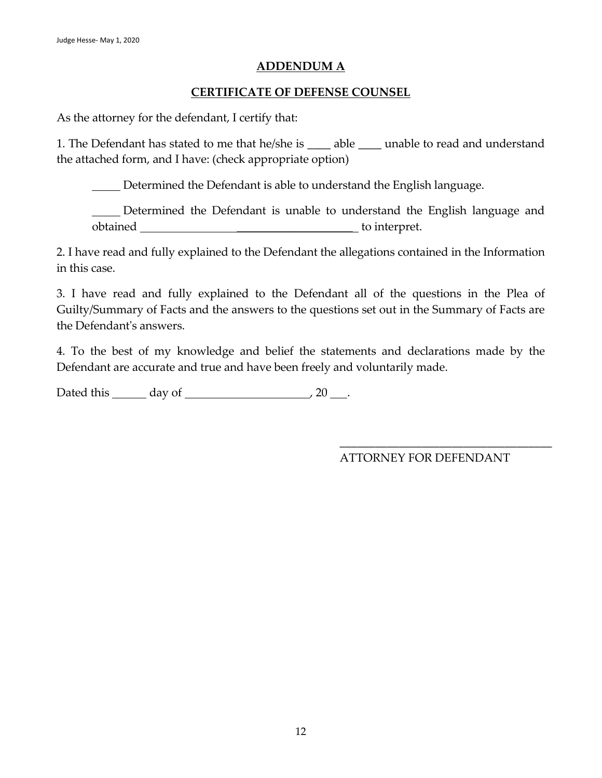#### **ADDENDUM A**

# **CERTIFICATE OF DEFENSE COUNSEL**

As the attorney for the defendant, I certify that:

1. The Defendant has stated to me that he/she is \_\_\_\_ able \_\_\_\_ unable to read and understand the attached form, and I have: (check appropriate option)

Determined the Defendant is able to understand the English language.

 Determined the Defendant is unable to understand the English language and obtained \_\_\_\_\_\_\_\_\_\_\_\_\_\_\_\_\_\_\_\_ to interpret.

2. I have read and fully explained to the Defendant the allegations contained in the Information in this case.

3. I have read and fully explained to the Defendant all of the questions in the Plea of Guilty/Summary of Facts and the answers to the questions set out in the Summary of Facts are the Defendant's answers.

4. To the best of my knowledge and belief the statements and declarations made by the Defendant are accurate and true and have been freely and voluntarily made.

Dated this  $\_\_\_\_\$  day of  $\_\_\_\_\_\_\_\_\_\_\_\_\_$  20  $\_\_\_\_\.\$ 

ATTORNEY FOR DEFENDANT

\_\_\_\_\_\_\_\_\_\_\_\_\_\_\_\_\_\_\_\_\_\_\_\_\_\_\_\_\_\_\_\_\_\_\_\_